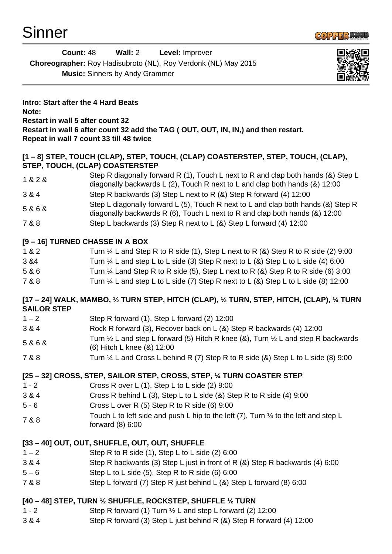

| Count: 48                                                             | Wall: 2 | <b>Level: Improver</b> |  |
|-----------------------------------------------------------------------|---------|------------------------|--|
| <b>Choreographer:</b> Roy Hadisubroto (NL), Roy Verdonk (NL) May 2015 |         |                        |  |
| <b>Music:</b> Sinners by Andy Grammer                                 |         |                        |  |



**Intro: Start after the 4 Hard Beats Note: Restart in wall 5 after count 32 Restart in wall 6 after count 32 add the TAG ( OUT, OUT, IN, IN,) and then restart. Repeat in wall 7 count 33 till 48 twice**

### **[1 – 8] STEP, TOUCH (CLAP), STEP, TOUCH, (CLAP) COASTERSTEP, STEP, TOUCH, (CLAP), STEP, TOUCH, (CLAP) COASTERSTEP**

- 1 & 2 & Step R diagonally forward R (1), Touch L next to R and clap both hands (&) Step L diagonally backwards L (2), Touch R next to L and clap both hands (&) 12:00
- 3 & 4 Step R backwards (3) Step L next to R (&) Step R forward (4) 12:00
- 5 & 6 & Step L diagonally forward L (5), Touch R next to L and clap both hands (&) Step R
- diagonally backwards R (6), Touch L next to R and clap both hands (&) 12:00
- 7 & 8 Step L backwards (3) Step R next to L (&) Step L forward (4) 12:00

### **[9 – 16] TURNED CHASSE IN A BOX**

- 1 & 2 Turn ¼ L and Step R to R side (1), Step L next to R (&) Step R to R side (2) 9:00 3 &4 Turn ¼ L and step L to L side (3) Step R next to L (&) Step L to L side (4) 6:00
- 
- 5 & 6 Turn ¼ Land Step R to R side (5), Step L next to R (&) Step R to R side (6) 3:00
- 7 & 8 Turn ¼ L and step L to L side (7) Step R next to L (&) Step L to L side (8) 12:00

### **[17 – 24] WALK, MAMBO, ½ TURN STEP, HITCH (CLAP), ½ TURN, STEP, HITCH, (CLAP), ¼ TURN SAILOR STEP**

- $1 2$  Step R forward (1), Step L forward (2) 12:00
- 3 & 4 Rock R forward (3), Recover back on L (&) Step R backwards (4) 12:00
- 5 & 6 & Turn ½ L and step L forward (5) Hitch R knee (&), Turn ½ L and step R backwards (6) Hitch L knee (&) 12:00
- 7 & 8 Turn ¼ L and Cross L behind R (7) Step R to R side (&) Step L to L side (8) 9:00

## **[25 – 32] CROSS, STEP, SAILOR STEP, CROSS, STEP, ¼ TURN COASTER STEP**

- 1 2 Cross R over L (1), Step L to L side (2) 9:00
- 3 & 4 Cross R behind L (3), Step L to L side (&) Step R to R side (4) 9:00
- 5 6 Cross L over R (5) Step R to R side (6) 9:00
- 7 & 8 Touch L to left side and push L hip to the left (7), Turn 1/4 to the left and step L forward (8) 6:00

# **[33 – 40] OUT, OUT, SHUFFLE, OUT, OUT, SHUFFLE**

- $1 2$  Step R to R side (1), Step L to L side (2) 6:00
- 3 & 4 Step R backwards (3) Step L just in front of R (&) Step R backwards (4) 6:00
- $5 6$  Step L to L side (5), Step R to R side (6) 6:00
- 7 & 8 Step L forward (7) Step R just behind L (&) Step L forward (8) 6:00

## **[40 – 48] STEP, TURN ½ SHUFFLE, ROCKSTEP, SHUFFLE ½ TURN**

- 1 2 Step R forward (1) Turn ½ L and step L forward (2) 12:00
- 3 & 4 Step R forward (3) Step L just behind R (&) Step R forward (4) 12:00